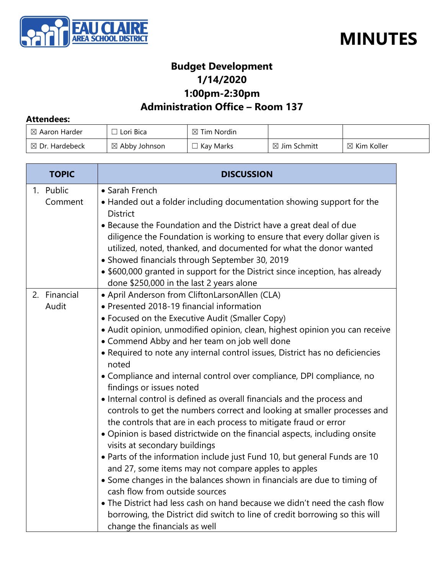



### **Budget Development 1/14/2020 1:00pm-2:30pm**

### **Administration Office – Room 137**

#### **Attendees:**

| $\boxtimes$ Aaron Harder  | Lori Bica                | $\boxtimes$ Tim Nordin |                         |                        |
|---------------------------|--------------------------|------------------------|-------------------------|------------------------|
| $\boxtimes$ Dr. Hardebeck | $\boxtimes$ Abby Johnson | Kay Marks              | $\boxtimes$ Jim Schmitt | $\boxtimes$ Kim Koller |

| <b>TOPIC</b>          | <b>DISCUSSION</b>                                                                                                                                                                                                                                                                                                                                                                                                                                                                                                                                                                                                                                                                                                                                                                                                                                                                                                                                                                                                                                                                                                                                                                                                                                                                                               |  |
|-----------------------|-----------------------------------------------------------------------------------------------------------------------------------------------------------------------------------------------------------------------------------------------------------------------------------------------------------------------------------------------------------------------------------------------------------------------------------------------------------------------------------------------------------------------------------------------------------------------------------------------------------------------------------------------------------------------------------------------------------------------------------------------------------------------------------------------------------------------------------------------------------------------------------------------------------------------------------------------------------------------------------------------------------------------------------------------------------------------------------------------------------------------------------------------------------------------------------------------------------------------------------------------------------------------------------------------------------------|--|
| 1. Public<br>Comment  | • Sarah French<br>• Handed out a folder including documentation showing support for the<br><b>District</b><br>• Because the Foundation and the District have a great deal of due<br>diligence the Foundation is working to ensure that every dollar given is<br>utilized, noted, thanked, and documented for what the donor wanted<br>• Showed financials through September 30, 2019<br>• \$600,000 granted in support for the District since inception, has already                                                                                                                                                                                                                                                                                                                                                                                                                                                                                                                                                                                                                                                                                                                                                                                                                                            |  |
| 2. Financial<br>Audit | done \$250,000 in the last 2 years alone<br>• April Anderson from CliftonLarsonAllen (CLA)<br>• Presented 2018-19 financial information<br>• Focused on the Executive Audit (Smaller Copy)<br>· Audit opinion, unmodified opinion, clean, highest opinion you can receive<br>• Commend Abby and her team on job well done<br>• Required to note any internal control issues, District has no deficiencies<br>noted<br>• Compliance and internal control over compliance, DPI compliance, no<br>findings or issues noted<br>• Internal control is defined as overall financials and the process and<br>controls to get the numbers correct and looking at smaller processes and<br>the controls that are in each process to mitigate fraud or error<br>• Opinion is based districtwide on the financial aspects, including onsite<br>visits at secondary buildings<br>. Parts of the information include just Fund 10, but general Funds are 10<br>and 27, some items may not compare apples to apples<br>• Some changes in the balances shown in financials are due to timing of<br>cash flow from outside sources<br>• The District had less cash on hand because we didn't need the cash flow<br>borrowing, the District did switch to line of credit borrowing so this will<br>change the financials as well |  |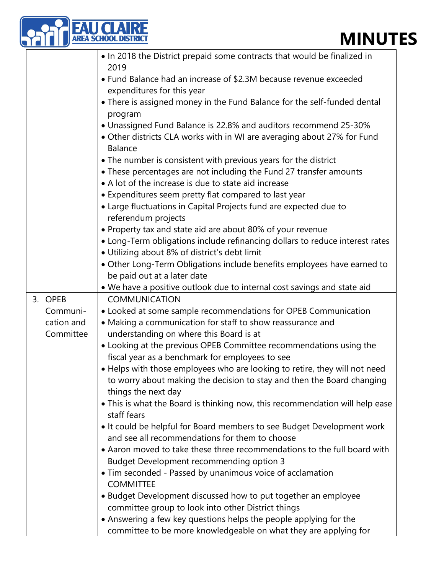## **MINUTES**

|  |                     | <b>MINUT</b><br>EA SCHOOL DISTRIC                                                                                                           |
|--|---------------------|---------------------------------------------------------------------------------------------------------------------------------------------|
|  |                     | • In 2018 the District prepaid some contracts that would be finalized in<br>2019                                                            |
|  |                     | • Fund Balance had an increase of \$2.3M because revenue exceeded                                                                           |
|  |                     | expenditures for this year<br>• There is assigned money in the Fund Balance for the self-funded dental                                      |
|  |                     | program                                                                                                                                     |
|  |                     | • Unassigned Fund Balance is 22.8% and auditors recommend 25-30%<br>• Other districts CLA works with in WI are averaging about 27% for Fund |
|  |                     | Balance                                                                                                                                     |
|  |                     | • The number is consistent with previous years for the district                                                                             |
|  |                     | • These percentages are not including the Fund 27 transfer amounts<br>• A lot of the increase is due to state aid increase                  |
|  |                     | • Expenditures seem pretty flat compared to last year                                                                                       |
|  |                     | • Large fluctuations in Capital Projects fund are expected due to                                                                           |
|  |                     | referendum projects<br>• Property tax and state aid are about 80% of your revenue                                                           |
|  |                     | • Long-Term obligations include refinancing dollars to reduce interest rates                                                                |
|  |                     | • Utilizing about 8% of district's debt limit<br>• Other Long-Term Obligations include benefits employees have earned to                    |
|  |                     | be paid out at a later date                                                                                                                 |
|  |                     | . We have a positive outlook due to internal cost savings and state aid                                                                     |
|  | 3. OPEB<br>Communi- | <b>COMMUNICATION</b><br>• Looked at some sample recommendations for OPEB Communication                                                      |
|  | cation and          | • Making a communication for staff to show reassurance and                                                                                  |
|  | Committee           | understanding on where this Board is at                                                                                                     |
|  |                     | • Looking at the previous OPEB Committee recommendations using the<br>fiscal year as a benchmark for employees to see                       |
|  |                     | • Helps with those employees who are looking to retire, they will not need                                                                  |
|  |                     | to worry about making the decision to stay and then the Board changing                                                                      |
|  |                     | things the next day<br>• This is what the Board is thinking now, this recommendation will help ease                                         |
|  |                     | staff fears                                                                                                                                 |
|  |                     | • It could be helpful for Board members to see Budget Development work<br>and see all recommendations for them to choose                    |
|  |                     | • Aaron moved to take these three recommendations to the full board with                                                                    |
|  |                     | <b>Budget Development recommending option 3</b>                                                                                             |
|  |                     | • Tim seconded - Passed by unanimous voice of acclamation<br><b>COMMITTEE</b>                                                               |
|  |                     | • Budget Development discussed how to put together an employee                                                                              |
|  |                     | committee group to look into other District things                                                                                          |
|  |                     | • Answering a few key questions helps the people applying for the<br>committee to be more knowledgeable on what they are applying for       |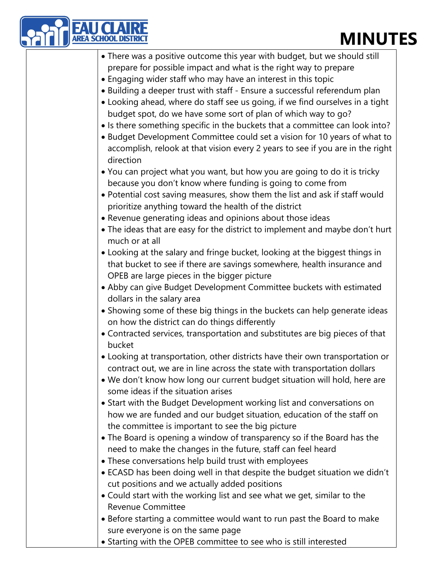# **MINUTES**